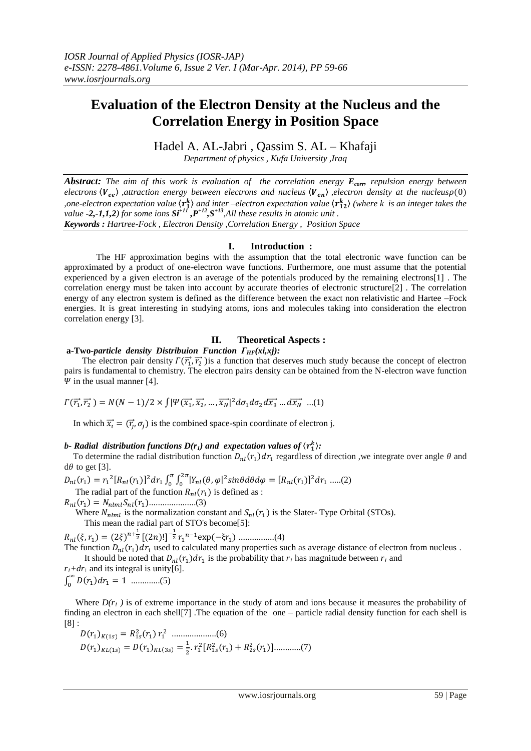# **Evaluation of the Electron Density at the Nucleus and the Correlation Energy in Position Space**

Hadel A. AL-Jabri , Qassim S. AL – Khafaji

*Department of physics , Kufa University ,Iraq*

*Abstract:* The aim of this work is evaluation of the correlation energy  $E_{corr}$  repulsion energy between *electrons*  $\langle V_{ee} \rangle$  *,attraction energy between electrons and nucleus*  $\langle V_{en} \rangle$  *electron density at the nucleus* $\rho(0)$ *one-electron expectation value*  $\langle r_1^k \rangle$  and inter-electron expectation value  $\langle r_{12}^k \rangle$  (where k is an integer takes the *value -2,-1,1,2*) for some ions  $St^{+II}, P^{+I2}, S^{+I3}$ ,All these results in atomic unit . *Keywords : Hartree-Fock , Electron Density ,Correlation Energy , Position Space*

## **I. Introduction :**

 The HF approximation begins with the assumption that the total electronic wave function can be approximated by a product of one-electron wave functions. Furthermore, one must assume that the potential experienced by a given electron is an average of the potentials produced by the remaining electrons[1] . The correlation energy must be taken into account by accurate theories of electronic structure[2] . The correlation energy of any electron system is defined as the difference between the exact non relativistic and Hartee –Fock energies. It is great interesting in studying atoms, ions and molecules taking into consideration the electron correlation energy [3].

## **II. Theoretical Aspects :**

## **a-Two-***particle density Distribuion Function*  $\Gamma$ <sub>*HF</sub>*(*xi,xj*):</sub>

The electron pair density  $\Gamma(\vec{r_1}, \vec{r_2})$  is a function that deserves much study because the concept of electron pairs is fundamental to chemistry. The electron pairs density can be obtained from the N-electron wave function  $\Psi$  in the usual manner [4].

$$
\Gamma(\overrightarrow{r_1},\overrightarrow{r_2}) = N(N-1)/2 \times \int |\Psi(\overrightarrow{x_1},\overrightarrow{x_2},...,\overrightarrow{x_N})|^2 d\sigma_1 d\sigma_2 d\overrightarrow{x_3}...d\overrightarrow{x_N}...(1)
$$

In which  $\vec{x}_i = (\vec{r}_i, \sigma_i)$  is the combined space-spin coordinate of electron j.

## *b*- Radial distribution functions  $D(r_1)$  and expectation values of  $\langle r_1^k \rangle$ :

To determine the radial distribution function  $D_{nl}(r_1) dr_1$  regardless of direction, we integrate over angle  $\theta$  and  $d\theta$  to get [3].

 $D_{nl}(r_1) = r_1^2[R_{nl}(r_1)]^2 dr_1 \int_0^{\pi} \int_0^{2\pi} |Y_{nl}(\theta, \varphi)|^2 sin\theta d\theta d\varphi = [R_{nl}(r_1)]^2$  $\bf{0}$  $\pi$  $\int_0^{\infty} \int_0^{2\pi} |Y_{nl}(\theta, \varphi|^2 sin\theta d\theta d\varphi = [R_{nl}(r_1)]^2 dr_1$  .....(2)

The radial part of the function  $R_{nl}(r_1)$  is defined as :

.....................(3)

Where  $N_{nlml}$  is the normalization constant and  $S_{nl}(r_1)$  is the Slater- Type Orbital (STOs). This mean the radial part of STO's become[5]:

 $R_{nl}(\xi, r_1) = (2\xi)^{n+\frac{1}{2}} [(2n)!]^{-\frac{1}{2}} r_1^{n-1} \exp(-\xi r_1) \dots (4)$ 

The function  $D_{nl}(r_1) dr_1$  used to calculated many properties such as average distance of electron from nucleus. It should be noted that  $D_{nl}(r_1)dr_1$  is the probability that  $r_l$  has magnitude between  $r_l$  and

 $r_1 + dr_1$  and its integral is unity[6].  $\int_0^\infty D(r_1)$ .............(5)

Where  $D(r_i)$  is of extreme importance in the study of atom and ions because it measures the probability of finding an electron in each shell  $[7]$ . The equation of the one – particle radial density function for each shell is  $[8]$ :

$$
D(r_1)_{K(1s)} = R_{1s}^2(r_1) r_1^2 \dots (6)
$$
  
 
$$
D(r_1)_{KL(1s)} = D(r_1)_{KL(3s)} = \frac{1}{2} \cdot r_1^2 [R_{1s}^2(r_1) + R_{2s}^2(r_1)] \dots (7)
$$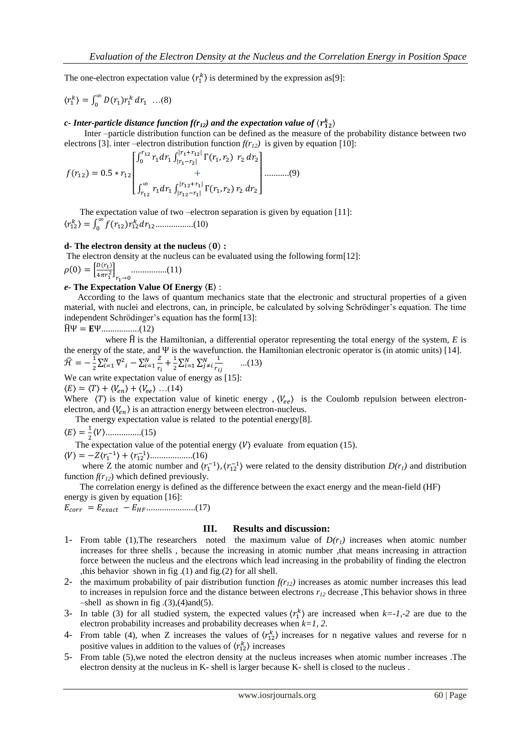The one-electron expectation value  $\langle r_1^k \rangle$  is determined by the expression as[9]:

$$
\langle r_1^k \rangle = \int_0^\infty D(r_1) r_1^k \, dr_1 \dots (8)
$$

*c*- Inter-particle distance function  $f(r_{12})$  and the expectation value of  $\langle r_{12}^k \rangle$ 

 Inter –particle distribution function can be defined as the measure of the probability distance between two electrons [3]. inter –electron distribution function  $f(r_{12})$  is given by equation [10]:

$$
f(r_{12}) = 0.5 * r_{12} \begin{bmatrix} \int_0^{r_{12}} r_1 dr_1 \int_{|r_1 - r_2|}^{|r_1 + r_{12}|} \Gamma(r_1, r_2) & r_2 dr_2 \\ + \\ \int_{r_{12}}^{\infty} r_1 dr_1 \int_{|r_{12} - r_1|}^{|r_{12} + r_1|} \Gamma(r_1, r_2) & r_2 dr_2 \end{bmatrix} \dots \dots \dots (9)
$$

The expectation value of two –electron separation is given by equation [11]:  $\langle r_{12}^k \rangle = \int_0^\infty f(r_{12}) r_{12}^k$ .................(10(

#### **d- The electron density at the nucleus :**

The electron density at the nucleus can be evaluated using the following form[12]:

$$
\rho(0) = \left[\frac{D(r_1)}{4\pi r_1^2}\right]_{r_1 \to 0} \dots \dots \dots \dots \dots (11)
$$

### *e-* **The Expectation Value Of Energy** 〈 〉 :

 According to the laws of quantum mechanics state that the electronic and structural properties of a given material, with nuclei and electrons, can, in principle, be calculated by solving Schrödinger's equation. The time independent Schrödinger's equation has the form[13]:

̂ .................(12)

where  $\hat{H}$  is the Hamiltonian, a differential operator representing the total energy of the system,  $E$  is the energy of the state, and  $\Psi$  is the wavefunction. the Hamiltonian electronic operator is (in atomic units) [14].

$$
\widehat{\mathcal{H}} = -\frac{1}{2} \sum_{i=1}^{N} \nabla^2 i - \sum_{i=1}^{N} \frac{z}{r_i} + \frac{1}{2} \sum_{i=1}^{N} \sum_{j \neq i}^{N} \frac{1}{r_{ij}} \quad ...(13)
$$
  
We can write expectation value of energy as [15]:

 $\langle E \rangle = \langle T \rangle + \langle V_{en} \rangle + \langle V_{ee} \rangle$  ...(14)

Where  $\langle T \rangle$  is the expectation value of kinetic energy ,  $\langle V_{ee} \rangle$  is the Coulomb repulsion between electronelectron, and  $\langle V_{en} \rangle$  is an attraction energy between electron-nucleus.

The energy expectation value is related to the potential energy[8].

〈 〉 〈 〉................(15)

The expectation value of the potential energy  $\langle V \rangle$  evaluate from equation (15).

〈 〉 〈 〉 〈 〉...................(16)

where Z the atomic number and  $\langle r_1^{-1} \rangle$ ,  $\langle r_{12}^{-1} \rangle$  were related to the density distribution  $D(r_1)$  and distribution function  $f(r_{12})$  which defined previously.

 The correlation energy is defined as the difference between the exact energy and the mean-field (HF) energy is given by equation [16]:

......................(17)

#### **III. Results and discussion:**

- 1- From table (1), The researchers noted the maximum value of  $D(r_l)$  increases when atomic number increases for three shells , because the increasing in atomic number ,that means increasing in attraction force between the nucleus and the electrons which lead increasing in the probability of finding the electron ,this behavior shown in fig .(1) and fig.(2) for all shell.
- 2- the maximum probability of pair distribution function  $f(r_{12})$  increases as atomic number increases this lead to increases in repulsion force and the distance between electrons  $r_{12}$  decrease ,This behavior shows in three  $-$ shell as shown in fig.  $(3)$ ,  $(4)$  and  $(5)$ .
- 3- In table (3) for all studied system, the expected values  $\langle r_1^k \rangle$  are increased when  $k=1,-2$  are due to the electron probability increases and probability decreases when *k=1, 2*.
- 4- From table (4), when Z increases the values of  $\langle r_{12}^k \rangle$  increases for n negative values and reverse for n positive values in addition to the values of  $\langle r_{12}^k \rangle$  increases
- 5- From table (5),we noted the electron density at the nucleus increases when atomic number increases .The electron density at the nucleus in K- shell is larger because K- shell is closed to the nucleus .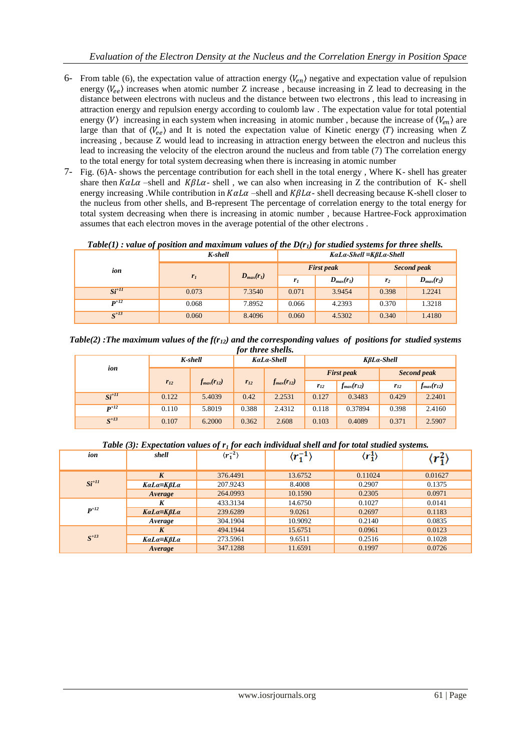- 6- From table (6), the expectation value of attraction energy  $\langle V_{en} \rangle$  negative and expectation value of repulsion energy  $\langle V_{ee} \rangle$  increases when atomic number Z increase, because increasing in Z lead to decreasing in the distance between electrons with nucleus and the distance between two electrons , this lead to increasing in attraction energy and repulsion energy according to coulomb law . The expectation value for total potential energy  $\langle V \rangle$  increasing in each system when increasing in atomic number, because the increase of  $\langle V_{en} \rangle$  are large than that of  $\langle V_{ee} \rangle$  and It is noted the expectation value of Kinetic energy  $\langle T \rangle$  increasing when Z increasing , because Z would lead to increasing in attraction energy between the electron and nucleus this lead to increasing the velocity of the electron around the nucleus and from table (7) The correlation energy to the total energy for total system decreasing when there is increasing in atomic number
- 7- Fig. (6)A- shows the percentage contribution for each shell in the total energy , Where K- shell has greater share then  $K\alpha L\alpha$  –shell and  $KBL\alpha$ - shell, we can also when increasing in Z the contribution of K- shell energy increasing .While contribution in  $K\alpha L\alpha$  –shell and  $K\beta L\alpha$ -shell decreasing because K-shell closer to the nucleus from other shells, and B-represent The percentage of correlation energy to the total energy for total system decreasing when there is increasing in atomic number , because Hartree-Fock approximation assumes that each electron moves in the average potential of the other electrons .

*Table(1) : value of position and maximum values of the D(r1) for studied systems for three shells.*

|                  | K-shell        |                | $KaLa-Shell \equiv K\beta La-Shell$ |                |                |                |
|------------------|----------------|----------------|-------------------------------------|----------------|----------------|----------------|
| ion              |                | $D_{max}(r_1)$ | <b>First peak</b><br>Second peak    |                |                |                |
|                  | r <sub>1</sub> |                | r <sub>I</sub>                      | $D_{max}(r_i)$ | r <sub>2</sub> | $D_{max}(r_2)$ |
| $Si^{+11}$       | 0.073          | 7.3540         | 0.071                               | 3.9454         | 0.398          | 1.2241         |
| $\mathbf{p}$ +12 | 0.068          | 7.8952         | 0.066                               | 4.2393         | 0.370          | 1.3218         |
| $S^{+13}$        | 0.060          | 8.4096         | 0.060                               | 4.5302         | 0.340          | 1.4180         |

*Table(2) :The maximum values of the f(r12) and the corresponding values of positions for studied systems for three shells.*

|                  | K-shell  |                   | KaLa-Shell                    |          | KßLa-Shell        |                   |                   |             |
|------------------|----------|-------------------|-------------------------------|----------|-------------------|-------------------|-------------------|-------------|
| ion              |          |                   |                               |          |                   | <b>First peak</b> |                   | Second peak |
|                  | $r_{12}$ | $f_{max}(r_{12})$ | $f_{max}(r_{12})$<br>$r_{12}$ | $r_{12}$ | $f_{max}(r_{12})$ | $r_{12}$          | $f_{max}(r_{12})$ |             |
| $Si^{+II}$       | 0.122    | 5.4039            | 0.42                          | 2.2531   | 0.127             | 0.3483            | 0.429             | 2.2401      |
| $\mathbf{p}$ +12 | 0.110    | 5.8019            | 0.388                         | 2.4312   | 0.118             | 0.37894           | 0.398             | 2.4160      |
| $S^{+13}$        | 0.107    | 6.2000            | 0.362                         | 2.608    | 0.103             | 0.4089            | 0.371             | 2.5907      |

*Table (3): Expectation values of r<sup>1</sup> for each individual shell and for total studied systems.*

| ion        | shell            | $\langle r_1^{-2} \rangle$ | $\langle r_1^{-1} \rangle$ | $\langle r_1^1\rangle$ | $\langle r_1^c$ |
|------------|------------------|----------------------------|----------------------------|------------------------|-----------------|
|            | K                | 376,4491                   | 13.6752                    | 0.11024                | 0.01627         |
| $Si^{+II}$ | KaLa≡KβLa        | 207.9243                   | 8.4008                     | 0.2907                 | 0.1375          |
|            | Average          | 264.0993                   | 10.1590                    | 0.2305                 | 0.0971          |
| $P^{+12}$  | K                | 433.3134                   | 14.6750                    | 0.1027                 | 0.0141          |
|            | $KaLa=K\beta La$ | 239.6289                   | 9.0261                     | 0.2697                 | 0.1183          |
|            | Average          | 304.1904                   | 10.9092                    | 0.2140                 | 0.0835          |
| $S^{+13}$  | K                | 494.1944                   | 15.6751                    | 0.0961                 | 0.0123          |
|            | KaLa≡KβLa        | 273.5961                   | 9.6511                     | 0.2516                 | 0.1028          |
|            | Average          | 347.1288                   | 11.6591                    | 0.1997                 | 0.0726          |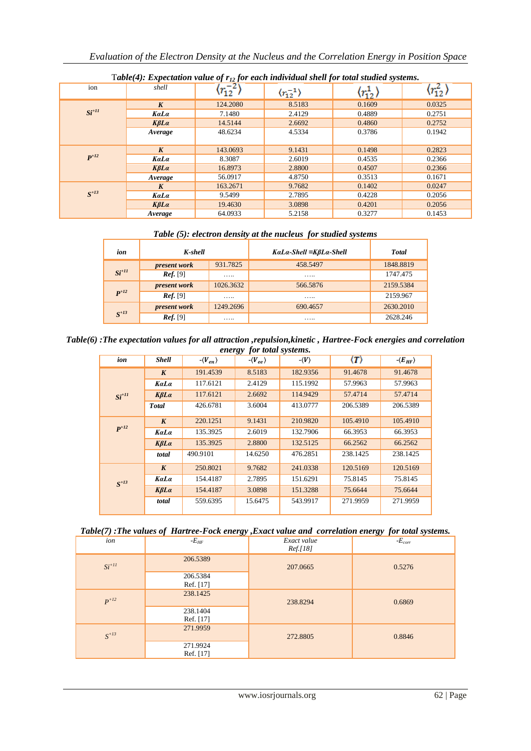| $1$ uvie $($ +). Expectation value of 1 $\frac{1}{2}$ for each inatvianut shelt for total statica systems. |                  |                               |                               |                            |                            |  |  |
|------------------------------------------------------------------------------------------------------------|------------------|-------------------------------|-------------------------------|----------------------------|----------------------------|--|--|
| ion                                                                                                        | shell            | $\langle r^{-2}_{12} \rangle$ | $\langle r_{12}^{-1} \rangle$ | $\langle r_{12}^1 \rangle$ | $\langle r_{12}^2 \rangle$ |  |  |
|                                                                                                            | $\boldsymbol{K}$ | 124.2080                      | 8.5183                        | 0.1609                     | 0.0325                     |  |  |
| $Si^{+11}$                                                                                                 | KaLa             | 7.1480                        | 2.4129                        | 0.4889                     | 0.2751                     |  |  |
|                                                                                                            | $K\beta La$      | 14.5144                       | 2.6692                        | 0.4860                     | 0.2752                     |  |  |
|                                                                                                            | Average          | 48.6234                       | 4.5334                        | 0.3786                     | 0.1942                     |  |  |
|                                                                                                            |                  |                               |                               |                            |                            |  |  |
|                                                                                                            | $\boldsymbol{K}$ | 143.0693                      | 9.1431                        | 0.1498                     | 0.2823                     |  |  |
| $P^{+12}$                                                                                                  | KaLa             | 8.3087                        | 2.6019                        | 0.4535                     | 0.2366                     |  |  |
|                                                                                                            | $K\beta La$      | 16.8973                       | 2.8800                        | 0.4507                     | 0.2366                     |  |  |
|                                                                                                            | Average          | 56.0917                       | 4.8750                        | 0.3513                     | 0.1671                     |  |  |
|                                                                                                            | $\boldsymbol{K}$ | 163.2671                      | 9.7682                        | 0.1402                     | 0.0247                     |  |  |
| $S^{+13}$                                                                                                  | KaLa             | 9.5499                        | 2.7895                        | 0.4228                     | 0.2056                     |  |  |
|                                                                                                            | $K\beta La$      | 19.4630                       | 3.0898                        | 0.4201                     | 0.2056                     |  |  |
|                                                                                                            | Average          | 64.0933                       | 5.2158                        | 0.3277                     | 0.1453                     |  |  |

T*able(4): Expectation value of r<sup>12</sup> for each individual shell for total studied systems.*

*Table (5): electron density at the nucleus for studied systems* 

| ion                | K-shell      |           | KaLa-Shell ≡KßLa-Shell | <b>Total</b> |
|--------------------|--------------|-----------|------------------------|--------------|
|                    | present work | 931.7825  | 458.5497               | 1848.8819    |
| $Si^{+II}$         | Ref. [9]     | .         | .                      | 1747.475     |
|                    | present work | 1026.3632 | 566.5876               | 2159.5384    |
| $\mathbf{P}^{+12}$ | Ref. [9]     | .         | .                      | 2159.967     |
|                    | present work | 1249.2696 | 690.4657               | 2630.2010    |
| $S^{+13}$          | Ref. [9]     | .         | .                      | 2628.246     |

*Table(6) :The expectation values for all attraction ,repulsion,kinetic , Hartree-Fock energies and correlation energy for total systems.*

| ion        | <b>Shell</b>     | $-\langle V_{en} \rangle$ | ື<br>$-\langle V_{ee} \rangle$ | - $\langle V \rangle$ | $\langle T \rangle$ | $-\langle E_{HF}\rangle$ |
|------------|------------------|---------------------------|--------------------------------|-----------------------|---------------------|--------------------------|
|            | $\boldsymbol{K}$ | 191.4539                  | 8.5183                         | 182.9356              | 91.4678             | 91.4678                  |
|            | KaLa             | 117.6121                  | 2.4129                         | 115.1992              | 57.9963             | 57.9963                  |
| $Si^{+11}$ | $K\beta La$      | 117.6121                  | 2.6692                         | 114.9429              | 57.4714             | 57.4714                  |
|            | <b>Total</b>     | 426.6781                  | 3.6004                         | 413.0777              | 206.5389            | 206.5389                 |
|            | $\boldsymbol{K}$ | 220.1251                  | 9.1431                         | 210.9820              | 105.4910            | 105.4910                 |
| $P^{+12}$  | KaLa             | 135.3925                  | 2.6019                         | 132.7906              | 66.3953             | 66.3953                  |
|            | $K\beta La$      | 135.3925                  | 2.8800                         | 132.5125              | 66.2562             | 66.2562                  |
|            | total            | 490.9101                  | 14.6250                        | 476.2851              | 238.1425            | 238.1425                 |
|            | $\boldsymbol{K}$ | 250.8021                  | 9.7682                         | 241.0338              | 120.5169            | 120.5169                 |
| $S^{+13}$  | KaLa             | 154.4187                  | 2.7895                         | 151.6291              | 75.8145             | 75.8145                  |
|            | $K\beta La$      | 154.4187                  | 3.0898                         | 151.3288              | 75.6644             | 75.6644                  |
|            | total            | 559.6395                  | 15.6475                        | 543.9917              | 271.9959            | 271.9959                 |

|  | Table(7): The values of Hartree-Fock energy, Exact value and correlation energy for total systems. |  |  |  |
|--|----------------------------------------------------------------------------------------------------|--|--|--|
|--|----------------------------------------------------------------------------------------------------|--|--|--|

| ion          | - $E_{HF}$            | Exact value<br><i>Ref.[18]</i> | $-E_{corr}$ |
|--------------|-----------------------|--------------------------------|-------------|
| $Si^{+II}$   | 206.5389              | 207.0665                       | 0.5276      |
|              | 206.5384<br>Ref. [17] |                                |             |
| $P+12$       | 238.1425              | 238.8294                       | 0.6869      |
|              | 238.1404<br>Ref. [17] |                                |             |
| $S^{\pm 13}$ | 271.9959              | 272.8805                       | 0.8846      |
|              | 271.9924<br>Ref. [17] |                                |             |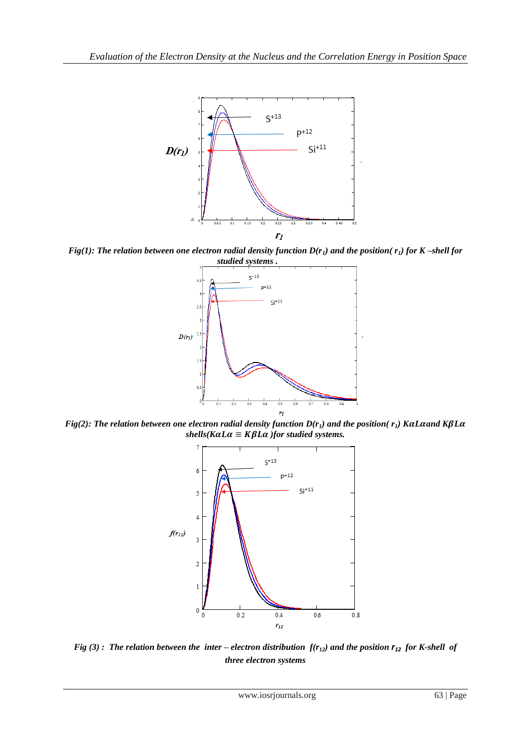

*Fig(1): The relation between one electron radial density function D(r1) and the position( r1) for K –shell for studied systems .* 



*Fig(2): The relation between one electron radial density function*  $D(r<sub>1</sub>)$  *and the position(* $r<sub>1</sub>$ *) KaLaand KβLa shells*( $K\alpha L\alpha \equiv K\beta L\alpha$ ) *for studied systems.* 



*Fig* (3): The relation between the inter – electron distribution  $f(r_{12})$  and the position  $r_{12}$  for K-shell of *three electron systems*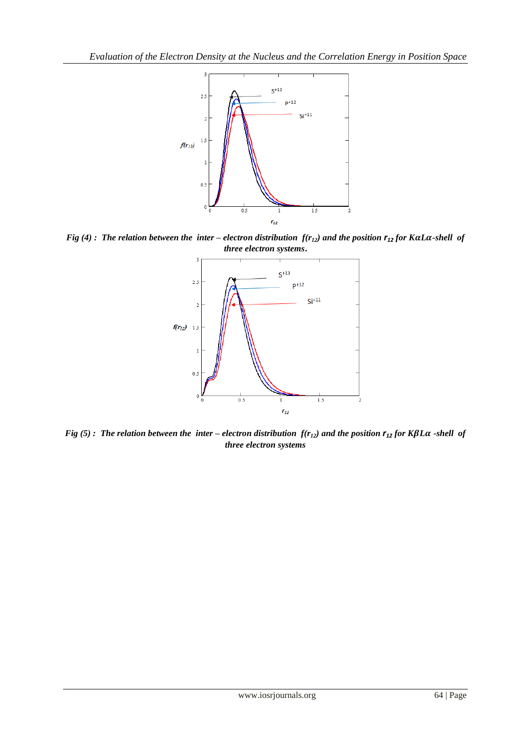

*Fig (4) : The relation between the inter – electron distribution*  $f(r_{12})$  *and the position*  $r_{12}$  *for KaLa-shell of three electron systems***.**



*Fig* (5): The relation between the inter – *electron distribution*  $f(r_{12})$  and the position  $r_{12}$  *for*  $K\beta L\alpha$  -shell of *three electron systems*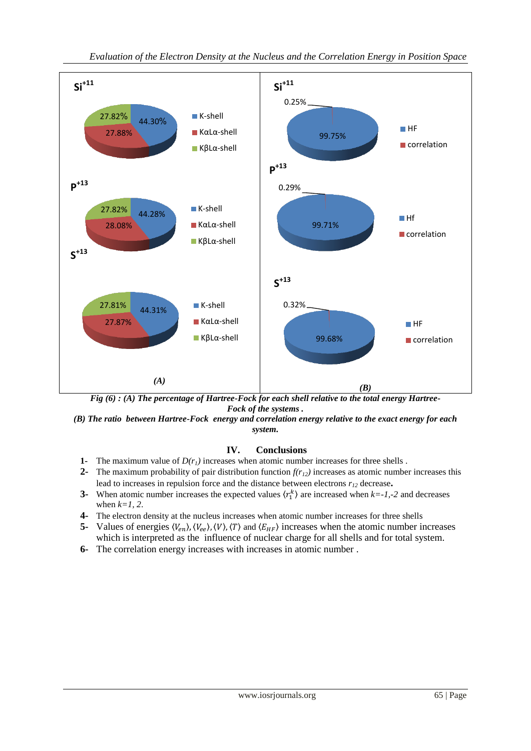

*Fig (6) : (A) The percentage of Hartree-Fock for each shell relative to the total energy Hartree-Fock of the systems .*

*(B) The ratio between Hartree-Fock energy and correlation energy relative to the exact energy for each system.*

## **IV. Conclusions**

- **1-** The maximum value of *D(r1)* increases when atomic number increases for three shells .
- **2-** The maximum probability of pair distribution function  $f(r_1)$  increases as atomic number increases this lead to increases in repulsion force and the distance between electrons *r<sup>12</sup>* decrease**.**
- **3-** When atomic number increases the expected values  $\langle r_1^k \rangle$  are increased when  $k = -1, -2$  and decreases when *k=1, 2*.
- **4-** The electron density at the nucleus increases when atomic number increases for three shells
- **5** Values of energies  $(V_{en})$ ,  $(V_{ee})$ ,  $(V)$ ,  $(T)$  and  $(E_{HF})$  increases when the atomic number increases which is interpreted as the influence of nuclear charge for all shells and for total system.
- **6-** The correlation energy increases with increases in atomic number .